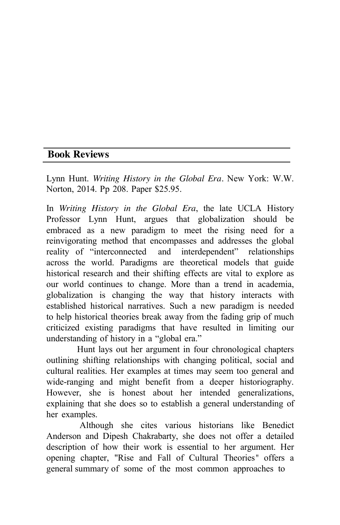## **Book Reviews**

Lynn Hunt. *Writing History in the Global Era.* New York: W.W. Norton, 2014. Pp 208. Paper \$25.95.

In *Writing History in the Global Era*, the late UCLA History Professor Lynn Hunt, argues that globalization should be embraced as a new paradigm to meet the rising need for a reinvigorating method that encompasses and addresses the global reality of "interconnected and interdependent" relationships across the world. Paradigms are theoretical models that guide historical research and their shifting effects are vital to explore as our world continues to change. More than a trend in academia, globalization is changing the way that history interacts with established historical narratives. Such a new paradigm is needed to help historical theories break away from the fading grip of much criticized existing paradigms that have resulted in limiting our understanding of history in a "global era."

Hunt lays out her argument in four chronological chapters outlining shifting relationships with changing political, social and cultural realities. Her examples at times may seem too general and wide-ranging and might benefit from a deeper historiography. However, she is honest about her intended generalizations, explaining that she does so to establish a general understanding of her examples.

Although she cites various historians like Benedict Anderson and Dipesh Chakrabarty, she does not offer a detailed description of how their work is essential to her argument. Her opening chapter, "Rise and Fall of Cultural Theories*"* offers a general summary of some of the most common approaches to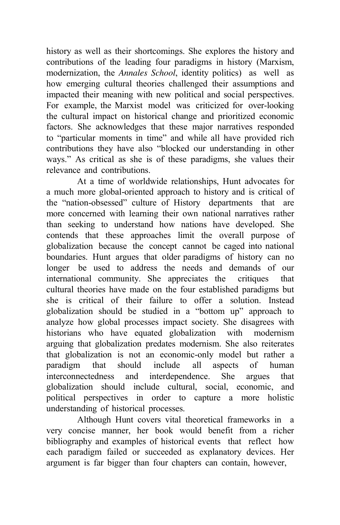history as well as their shortcomings. She explores the history and contributions of the leading four paradigms in history (Marxism, modernization, the *Annales School*, identity politics) as well as how emerging cultural theories challenged their assumptions and impacted their meaning with new political and social perspectives. For example, the Marxist model was criticized for over-looking the cultural impact on historical change and prioritized economic factors. She acknowledges that these major narratives responded to "particular moments in time" and while all have provided rich contributions they have also "blocked our understanding in other ways." As critical as she is of these paradigms, she values their relevance and contributions.

At a time of worldwide relationships, Hunt advocates for a much more global-oriented approach to history and is critical of the "nation-obsessed" culture of History departments that are more concerned with learning their own national narratives rather than seeking to understand how nations have developed. She contends that these approaches limit the overall purpose of globalization because the concept cannot be caged into national boundaries. Hunt argues that older paradigms of history can no longer be used to address the needs and demands of our international community. She appreciates the critiques that cultural theories have made on the four established paradigms but she is critical of their failure to offer a solution. Instead globalization should be studied in a "bottom up" approach to analyze how global processes impact society. She disagrees with historians who have equated globalization with modernism arguing that globalization predates modernism. She also reiterates that globalization is not an economic-only model but rather a paradigm that should include all aspects of human interconnectedness and interdependence. She argues that globalization should include cultural, social, economic, and political perspectives in order to capture a more holistic understanding of historical processes.

Although Hunt covers vital theoretical frameworks in a very concise manner, her book would benefit from a richer bibliography and examples of historical events that reflect how each paradigm failed or succeeded as explanatory devices. Her argument is far bigger than four chapters can contain, however,